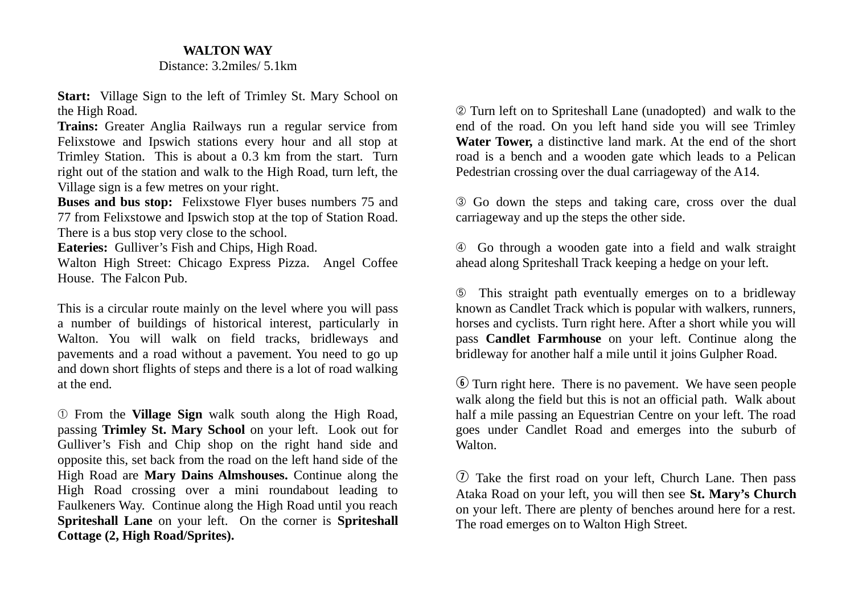## **WALTON WAY**

## Distance: 3.2miles/ 5.1km

**Start:** Village Sign to the left of Trimley St. Mary School on the High Road.

**Trains:** Greater Anglia Railways run a regular service from Felixstowe and Ipswich stations every hour and all stop at Trimley Station. This is about a 0.3 km from the start. Turn right out of the station and walk to the High Road, turn left, the Village sign is a few metres on your right.

**Buses and bus stop:** Felixstowe Flyer buses numbers 75 and 77 from Felixstowe and Ipswich stop at the top of Station Road. There is a bus stop very close to the school.

**Eateries:** Gulliver's Fish and Chips, High Road.

Walton High Street: Chicago Express Pizza. Angel Coffee House. The Falcon Pub.

This is a circular route mainly on the level where you will pass a number of buildings of historical interest, particularly in Walton. You will walk on field tracks, bridleways and pavements and a road without a pavement. You need to go up and down short flights of steps and there is a lot of road walking at the end.

➀ From the **Village Sign** walk south along the High Road, passing **Trimley St. Mary School** on your left. Look out for Gulliver's Fish and Chip shop on the right hand side and opposite this, set back from the road on the left hand side of the High Road are **Mary Dains Almshouses.** Continue along the High Road crossing over a mini roundabout leading to Faulkeners Way. Continue along the High Road until you reach **Spriteshall Lane** on your left. On the corner is **Spriteshall Cottage (2, High Road/Sprites).**

➁ Turn left on to Spriteshall Lane (unadopted) and walk to the end of the road. On you left hand side you will see Trimley **Water Tower,** a distinctive land mark. At the end of the short road is a bench and a wooden gate which leads to a Pelican Pedestrian crossing over the dual carriageway of the A14.

➂ Go down the steps and taking care, cross over the dual carriageway and up the steps the other side.

➃ Go through a wooden gate into a field and walk straight ahead along Spriteshall Track keeping a hedge on your left.

➄ This straight path eventually emerges on to a bridleway known as Candlet Track which is popular with walkers, runners, horses and cyclists. Turn right here. After a short while you will pass **Candlet Farmhouse** on your left. Continue along the bridleway for another half a mile until it joins Gulpher Road.

y Turn right here. There is no pavement. We have seen people walk along the field but this is not an official path. Walk about half a mile passing an Equestrian Centre on your left. The road goes under Candlet Road and emerges into the suburb of Walton.

 $\overline{v}$  Take the first road on your left. Church Lane. Then pass Ataka Road on your left, you will then see **St. Mary's Church** on your left. There are plenty of benches around here for a rest. The road emerges on to Walton High Street.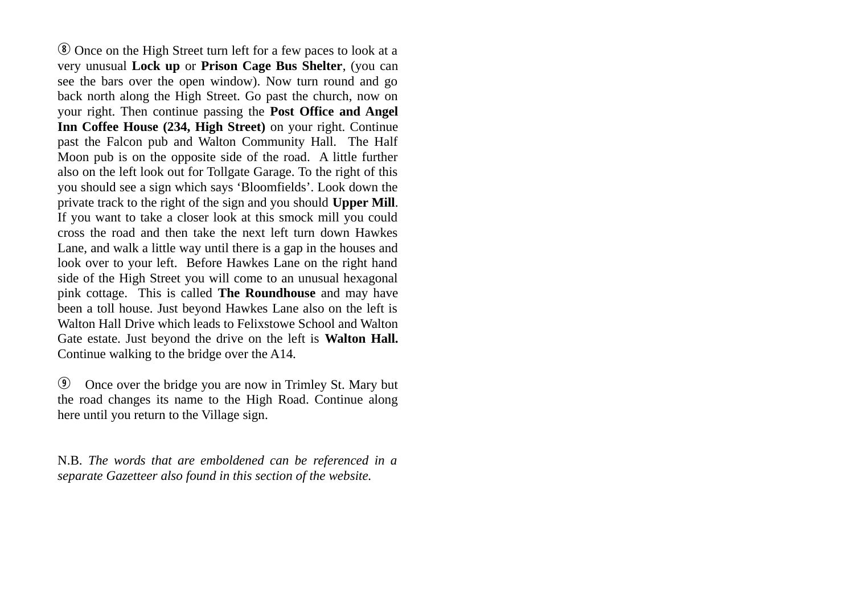**EX Once on the High Street turn left for a few paces to look at a** very unusual **Lock up** or **Prison Cage Bus Shelter**, (you can see the bars over the open window). Now turn round and go back north along the High Street. Go past the church, now on your right. Then continue passing the **Post Office and Angel Inn Coffee House (234, High Street)** on your right. Continue past the Falcon pub and Walton Community Hall. The Half Moon pub is on the opposite side of the road. A little further also on the left look out for Tollgate Garage. To the right of this you should see a sign which says 'Bloomfields'. Look down the private track to the right of the sign and you should **Upper Mill**. If you want to take a closer look at this smock mill you could cross the road and then take the next left turn down Hawkes Lane, and walk a little way until there is a gap in the houses and look over to your left. Before Hawkes Lane on the right hand side of the High Street you will come to an unusual hexagonal pink cottage. This is called **The Roundhouse** and may have been a toll house. Just beyond Hawkes Lane also on the left is Walton Hall Drive which leads to Felixstowe School and Walton Gate estate. Just beyond the drive on the left is **Walton Hall.** Continue walking to the bridge over the A14.

**The Once over the bridge you are now in Trimley St. Mary but** the road changes its name to the High Road. Continue along here until you return to the Village sign.

N.B. *The words that are emboldened can be referenced in a separate Gazetteer also found in this section of the website.*